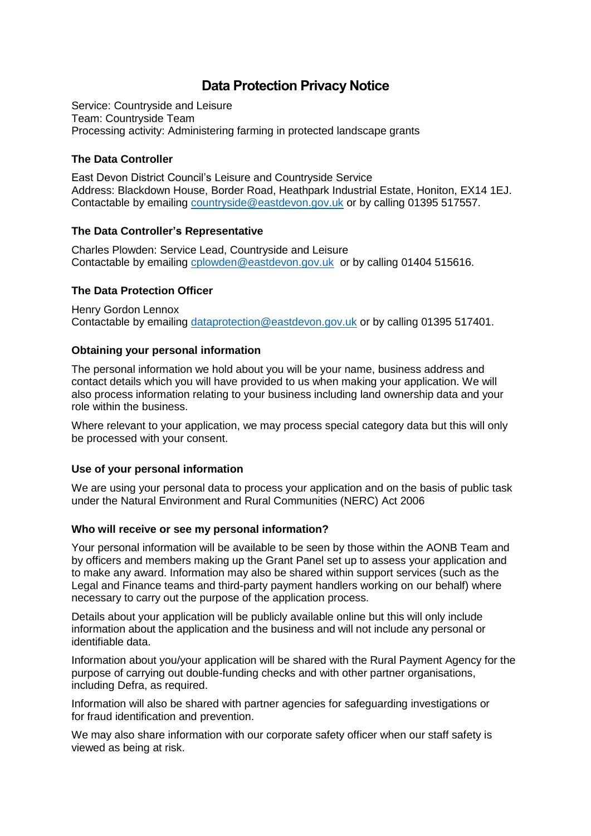# **Data Protection Privacy Notice**

Service: Countryside and Leisure Team: Countryside Team Processing activity: Administering farming in protected landscape grants

## **The Data Controller**

East Devon District Council's Leisure and Countryside Service Address: Blackdown House, Border Road, Heathpark Industrial Estate, Honiton, EX14 1EJ. Contactable by emailing [countryside@eastdevon.gov.uk](mailto:countryside@eastdevon.gov.uk) or by calling 01395 517557.

## **The Data Controller's Representative**

Charles Plowden: Service Lead, Countryside and Leisure Contactable by emailing [cplowden@eastdevon.gov.uk](mailto:cplowden@eastdevon.gov.uk) or by calling 01404 515616.

# **The Data Protection Officer**

Henry Gordon Lennox Contactable by emailing [dataprotection@eastdevon.gov.uk](mailto:dataprotection@eastdevon.gov.uk) or by calling 01395 517401.

# **Obtaining your personal information**

The personal information we hold about you will be your name, business address and contact details which you will have provided to us when making your application. We will also process information relating to your business including land ownership data and your role within the business.

Where relevant to your application, we may process special category data but this will only be processed with your consent.

## **Use of your personal information**

We are using your personal data to process your application and on the basis of public task under the Natural Environment and Rural Communities (NERC) Act 2006

## **Who will receive or see my personal information?**

Your personal information will be available to be seen by those within the AONB Team and by officers and members making up the Grant Panel set up to assess your application and to make any award. Information may also be shared within support services (such as the Legal and Finance teams and third-party payment handlers working on our behalf) where necessary to carry out the purpose of the application process.

Details about your application will be publicly available online but this will only include information about the application and the business and will not include any personal or identifiable data.

Information about you/your application will be shared with the Rural Payment Agency for the purpose of carrying out double-funding checks and with other partner organisations, including Defra, as required.

Information will also be shared with partner agencies for safeguarding investigations or for fraud identification and prevention.

We may also share information with our corporate safety officer when our staff safety is viewed as being at risk.